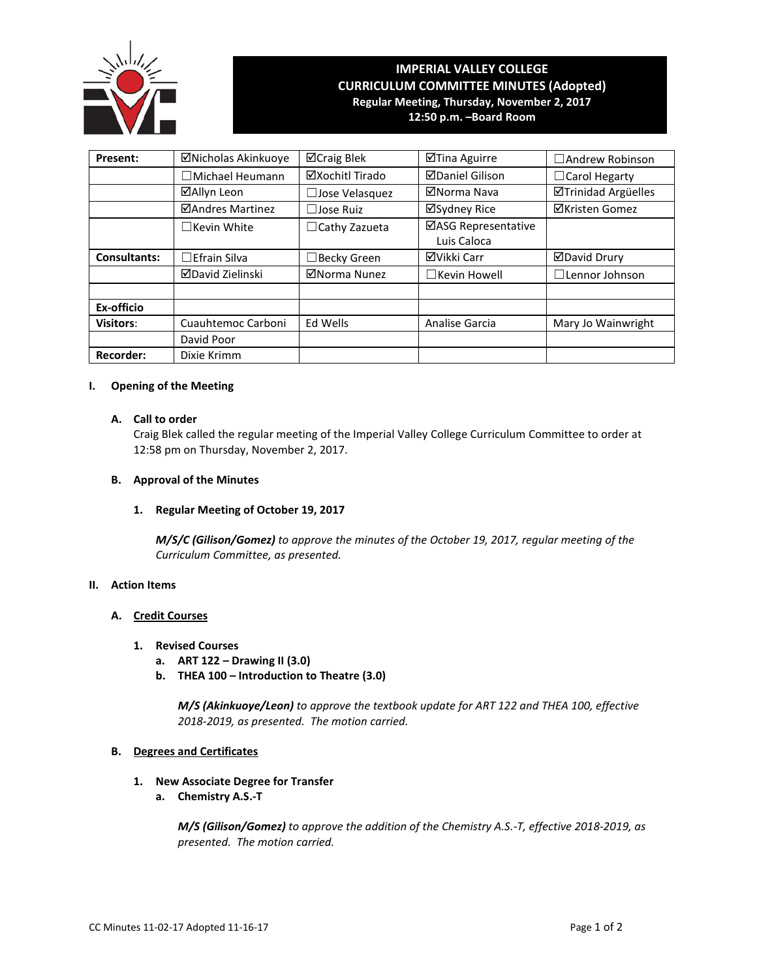

# **IMPERIAL VALLEY COLLEGE CURRICULUM COMMITTEE MINUTES (Adopted) Regular Meeting, Thursday, November 2, 2017**

**12:50 p.m. –Board Room**

| Present:            | ⊠Nicholas Akinkuoye     | ⊠Craig Blek           | ⊠Tina Aguirre                      | $\Box$ Andrew Robinson     |
|---------------------|-------------------------|-----------------------|------------------------------------|----------------------------|
|                     | $\Box$ Michael Heumann  | ⊠Xochitl Tirado       | <b>ØDaniel Gilison</b>             | $\Box$ Carol Hegarty       |
|                     | ⊠Allyn Leon             | $\Box$ Jose Velasquez | ⊠Norma Nava                        | <b>ØTrinidad Argüelles</b> |
|                     | <b>ØAndres Martinez</b> | $\Box$ Jose Ruiz      | ⊠Sydney Rice                       | <b>⊠Kristen Gomez</b>      |
|                     | $\Box$ Kevin White      | $\Box$ Cathy Zazueta  | ⊠ASG Representative<br>Luis Caloca |                            |
| <b>Consultants:</b> | $\Box$ Efrain Silva     | Becky Green           | ⊠Vikki Carr                        | <b>ØDavid Drury</b>        |
|                     | <b>⊠David Zielinski</b> | ⊠Norma Nunez          | $\Box$ Kevin Howell                | $\Box$ Lennor Johnson      |
|                     |                         |                       |                                    |                            |
| Ex-officio          |                         |                       |                                    |                            |
| <b>Visitors:</b>    | Cuauhtemoc Carboni      | Ed Wells              | Analise Garcia                     | Mary Jo Wainwright         |
|                     | David Poor              |                       |                                    |                            |
| <b>Recorder:</b>    | Dixie Krimm             |                       |                                    |                            |

# **I. Opening of the Meeting**

# **A. Call to order**

Craig Blek called the regular meeting of the Imperial Valley College Curriculum Committee to order at 12:58 pm on Thursday, November 2, 2017.

# **B. Approval of the Minutes**

# **1. Regular Meeting of October 19, 2017**

*M/S/C (Gilison/Gomez) to approve the minutes of the October 19, 2017, regular meeting of the Curriculum Committee, as presented.* 

# **II. Action Items**

## **A. Credit Courses**

- **1. Revised Courses**
	- **a. ART 122 – Drawing II (3.0)**
	- **b. THEA 100 – Introduction to Theatre (3.0)**

*M/S (Akinkuoye/Leon) to approve the textbook update for ART 122 and THEA 100, effective 2018-2019, as presented. The motion carried.*

## **B. Degrees and Certificates**

- **1. New Associate Degree for Transfer**
	- **a. Chemistry A.S.-T**

*M/S (Gilison/Gomez) to approve the addition of the Chemistry A.S.-T, effective 2018-2019, as presented. The motion carried.*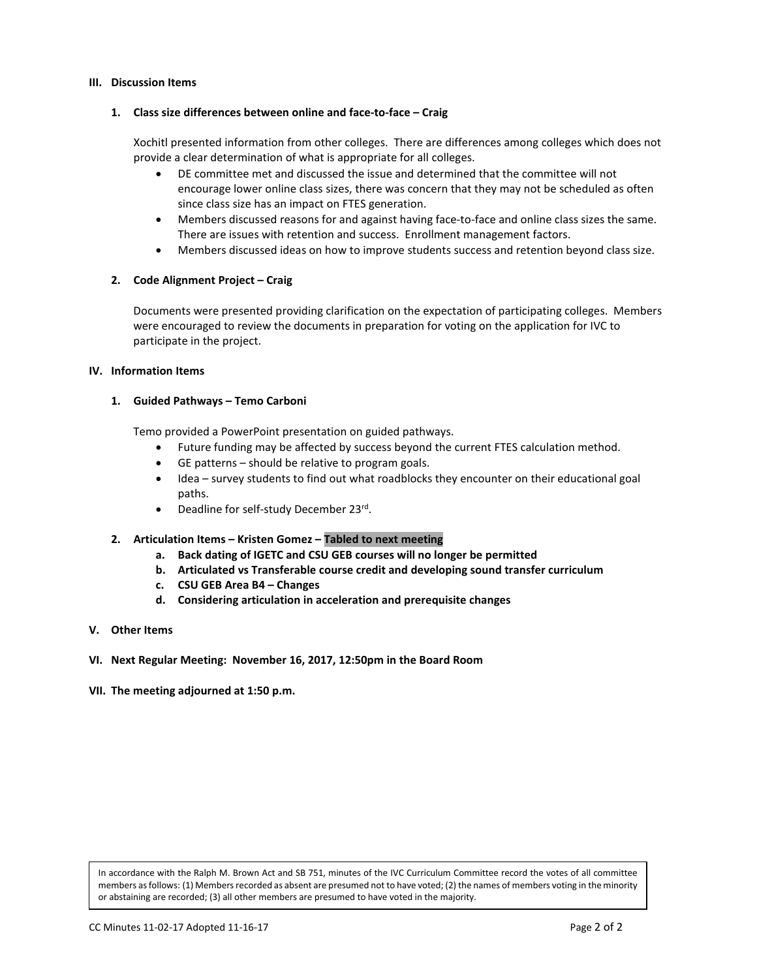## **III. Discussion Items**

## **1. Class size differences between online and face-to-face – Craig**

Xochitl presented information from other colleges. There are differences among colleges which does not provide a clear determination of what is appropriate for all colleges.

- DE committee met and discussed the issue and determined that the committee will not encourage lower online class sizes, there was concern that they may not be scheduled as often since class size has an impact on FTES generation.
- Members discussed reasons for and against having face-to-face and online class sizes the same. There are issues with retention and success. Enrollment management factors.
- Members discussed ideas on how to improve students success and retention beyond class size.

# **2. Code Alignment Project – Craig**

Documents were presented providing clarification on the expectation of participating colleges. Members were encouraged to review the documents in preparation for voting on the application for IVC to participate in the project.

## **IV. Information Items**

# **1. Guided Pathways – Temo Carboni**

Temo provided a PowerPoint presentation on guided pathways.

- Future funding may be affected by success beyond the current FTES calculation method.
- GE patterns should be relative to program goals.
- Idea survey students to find out what roadblocks they encounter on their educational goal paths.
- Deadline for self-study December 23rd.

# **2. Articulation Items – Kristen Gomez – Tabled to next meeting**

- **a. Back dating of IGETC and CSU GEB courses will no longer be permitted**
- **b. Articulated vs Transferable course credit and developing sound transfer curriculum**
- **c. CSU GEB Area B4 – Changes**
- **d. Considering articulation in acceleration and prerequisite changes**
- **V. Other Items**
- **VI. Next Regular Meeting: November 16, 2017, 12:50pm in the Board Room**
- **VII. The meeting adjourned at 1:50 p.m.**

In accordance with the Ralph M. Brown Act and SB 751, minutes of the IVC Curriculum Committee record the votes of all committee members as follows: (1) Members recorded as absent are presumed not to have voted; (2) the names of members voting in the minority or abstaining are recorded; (3) all other members are presumed to have voted in the majority.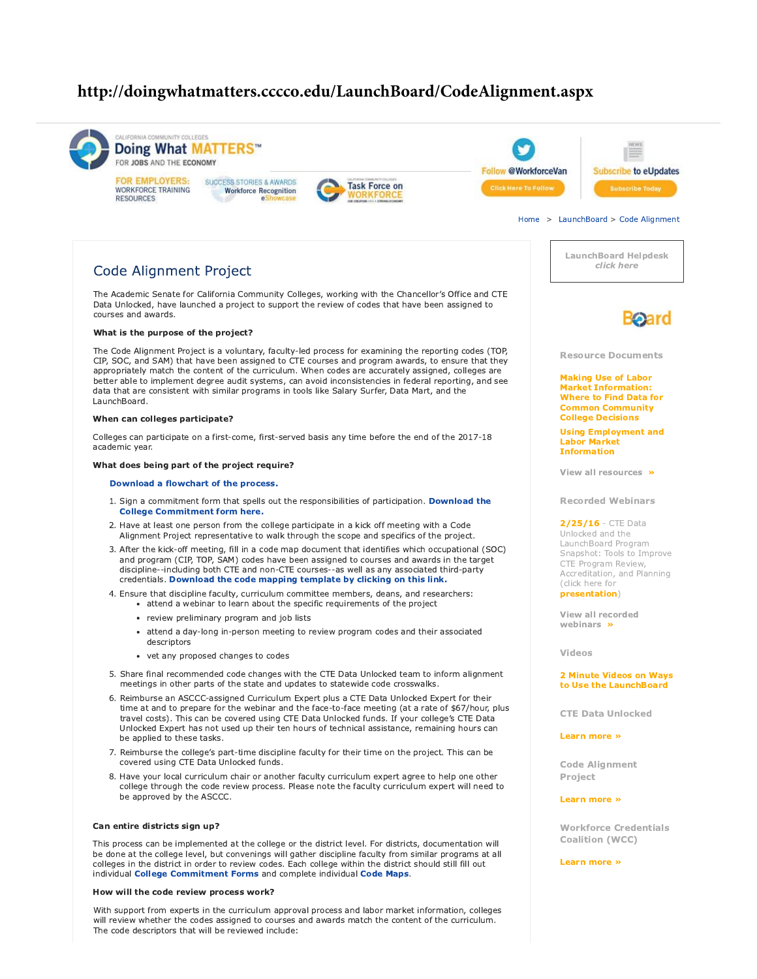# http://doingwhatmatters.cccco.edu/LaunchBoard/CodeAlignment.aspx



How will the code review process work?

With support from experts in the curriculum approval process and labor market information, colleges will review whether the codes assigned to courses and awards match the content of the curriculum. The code descriptors that will be reviewed include: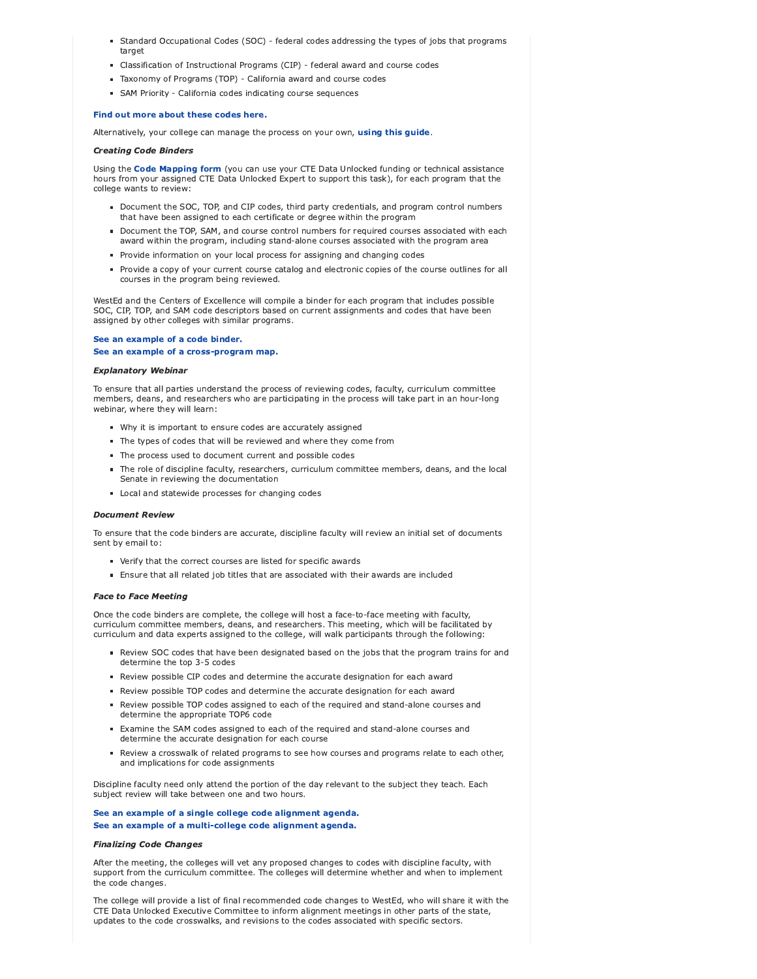- Standard Occupational Codes (SOC) federal codes addressing the types of jobs that programs target
- Classification of Instructional Programs (CIP) federal award and course codes
- Taxonomy of Programs (TOP) California award and course codes
- SAM Priority California codes indicating course sequences

#### Find out more about these codes here.

Alternatively, your college can manage the process on your own, using this guide.

#### **Creating Code Binders**

Using the Code Mapping form (you can use your CTE Data Unlocked funding or technical assistance hours from your assigned CTE Data Unlocked Expert to support this task), for each program that the college wants to review:

- Document the SOC, TOP, and CIP codes, third party credentials, and program control numbers that have been assigned to each certificate or degree within the program
- Document the TOP, SAM, and course control numbers for required courses associated with each award within the program, including stand-alone courses associated with the program area
- Provide information on your local process for assigning and changing codes
- Provide a copy of your current course catalog and electronic copies of the course outlines for all courses in the program being reviewed.

WestEd and the Centers of Excellence will compile a binder for each program that includes possible SOC, CIP, TOP, and SAM code descriptors based on current assignments and codes that have been assigned by other colleges with similar programs.

#### See an example of a code binder. See an example of a cross-program map.

#### **Explanatory Webinar**

To ensure that all parties understand the process of reviewing codes, faculty, curriculum committee members, deans, and researchers who are participating in the process will take part in an hour-long webinar, where they will learn:

- Why it is important to ensure codes are accurately assigned
- The types of codes that will be reviewed and where they come from
- The process used to document current and possible codes
- The role of discipline faculty, researchers, curriculum committee members, deans, and the local Senate in reviewing the documentation
- Local and statewide processes for changing codes

#### **Document Review**

To ensure that the code binders are accurate, discipline faculty will review an initial set of documents sent by email to:

- Verify that the correct courses are listed for specific awards
- Ensure that all related job titles that are associated with their awards are included

#### **Face to Face Meeting**

Once the code binders are complete, the college will host a face-to-face meeting with faculty, curriculum committee members, deans, and researchers. This meeting, which will be facilitated by curriculum and data experts assigned to the college, will walk participants through the following:

- Review SOC codes that have been designated based on the jobs that the program trains for and determine the top 3-5 codes
- Review possible CIP codes and determine the accurate designation for each award
- Review possible TOP codes and determine the accurate designation for each award
- Review possible TOP codes assigned to each of the required and stand-alone courses and determine the appropriate TOP6 code
- Examine the SAM codes assigned to each of the required and stand-alone courses and determine the accurate designation for each course
- " Review a crosswalk of related programs to see how courses and programs relate to each other, and implications for code assignments

Discipline faculty need only attend the portion of the day relevant to the subject they teach. Each subject review will take between one and two hours.

#### See an example of a single college code alignment agenda. See an example of a multi-college code alignment agenda.

#### **Finalizing Code Changes**

After the meeting, the colleges will vet any proposed changes to codes with discipline faculty, with support from the curriculum committee. The colleges will determine whether and when to implement the code changes.

The college will provide a list of final recommended code changes to WestEd, who will share it with the CTE Data Unlocked Executive Committee to inform alignment meetings in other parts of the state, updates to the code crosswalks, and revisions to the codes associated with specific sectors.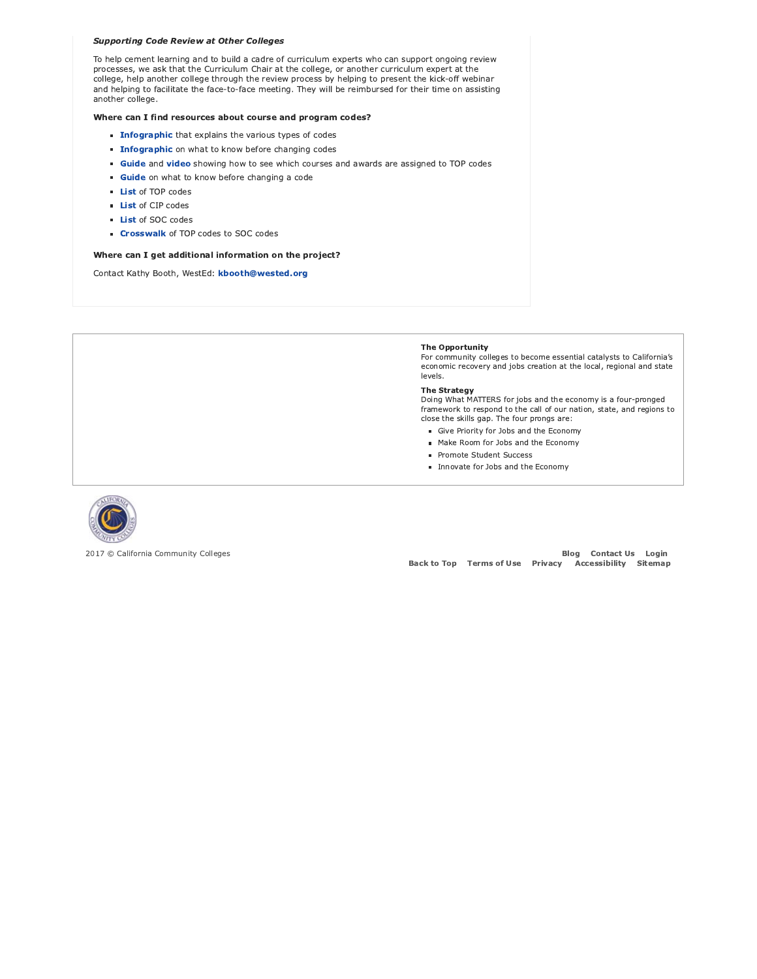#### **Supporting Code Review at Other Colleges**

To help cement learning and to build a cadre of curriculum experts who can support ongoing review processes, we ask that the Curriculum Chair at the college, or another curriculum expert at the college, help another college through the review process by helping to present the kick-off webinar and helping to facilitate the face-to-face meeting. They will be reimbursed for their time on assisting another college.

#### Where can I find resources about course and program codes?

- **Infographic** that explains the various types of codes
- **Infographic** on what to know before changing codes
- **Guide** and video showing how to see which courses and awards are assigned to TOP codes
- Guide on what to know before changing a code
- List of TOP codes
- **List of CIP codes**
- List of SOC codes
- Crosswalk of TOP codes to SOC codes

#### Where can I get additional information on the project?

Contact Kathy Booth, WestEd: kbooth@wested.org

#### The Opportunity

For community colleges to become essential catalysts to California's economic recovery and jobs creation at the local, regional and state levels.

#### **The Strategy**

Doing What MATTERS for jobs and the economy is a four-pronged framework to respond to the call of our nation, state, and regions to close the skills gap. The four prongs are:

- Give Priority for Jobs and the Economy
- Make Room for Jobs and the Economy
- Promote Student Success
- Innovate for Jobs and the Economy



2017 © California Community Colleges

**Blog** Contact Us Login **Back to Top Terms of Use Privacy** Accessibility Sitemap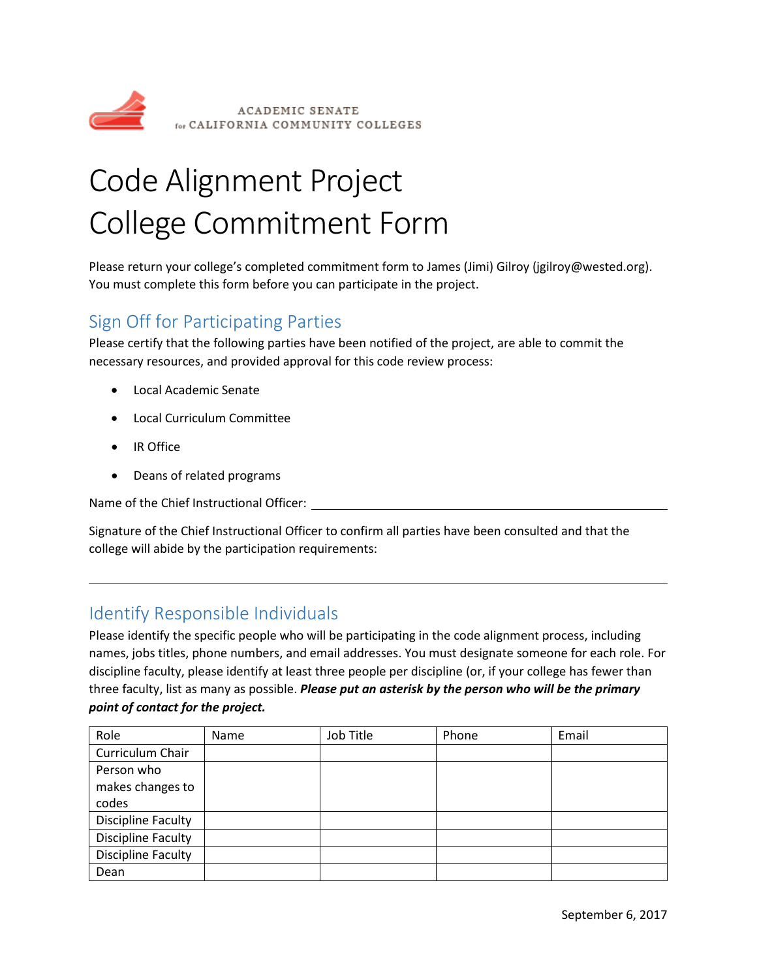

# Code Alignment Project College Commitment Form

Please return your college's completed commitment form to James (Jimi) Gilroy (jgilroy@wested.org). You must complete this form before you can participate in the project.

# Sign Off for Participating Parties

Please certify that the following parties have been notified of the project, are able to commit the necessary resources, and provided approval for this code review process:

- Local Academic Senate
- Local Curriculum Committee
- IR Office
- Deans of related programs

Name of the Chief Instructional Officer:

Signature of the Chief Instructional Officer to confirm all parties have been consulted and that the college will abide by the participation requirements:

# Identify Responsible Individuals

Please identify the specific people who will be participating in the code alignment process, including names, jobs titles, phone numbers, and email addresses. You must designate someone for each role. For discipline faculty, please identify at least three people per discipline (or, if your college has fewer than three faculty, list as many as possible. *Please put an asterisk by the person who will be the primary point of contact for the project.*

| Role                      | Name | Job Title | Phone | Email |
|---------------------------|------|-----------|-------|-------|
| Curriculum Chair          |      |           |       |       |
| Person who                |      |           |       |       |
| makes changes to          |      |           |       |       |
| codes                     |      |           |       |       |
| <b>Discipline Faculty</b> |      |           |       |       |
| <b>Discipline Faculty</b> |      |           |       |       |
| <b>Discipline Faculty</b> |      |           |       |       |
| Dean                      |      |           |       |       |